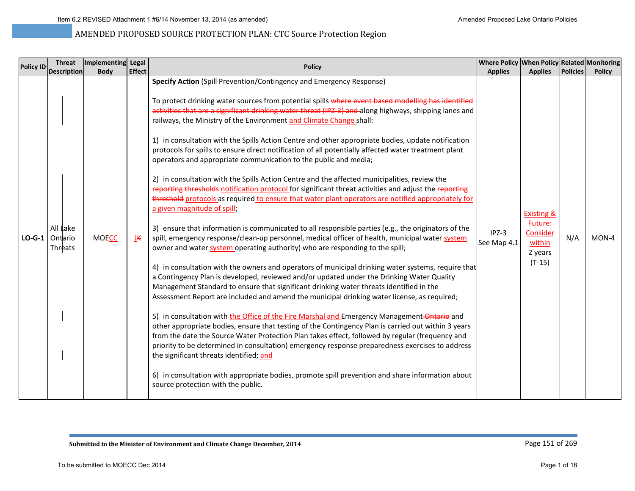| <b>Policy ID</b> | <b>Threat</b>                  | Implementing Legal |               | <b>Policy</b>                                                                                                                                                                                                                                                                                                                                                                                                                                                                                                                                                                                                                                                                                                                                                                                                                                                                                                                                                                                                                                                                                                                                                                                                                                                                                                                                                                                                                                                                                                                                                                                                                                                                                                                                                                                                                                                                                                                                                                                                                                                                                                                                                                                                                                                                        | Where Policy When Policy Related Monitoring |                                                                                      |                 |               |
|------------------|--------------------------------|--------------------|---------------|--------------------------------------------------------------------------------------------------------------------------------------------------------------------------------------------------------------------------------------------------------------------------------------------------------------------------------------------------------------------------------------------------------------------------------------------------------------------------------------------------------------------------------------------------------------------------------------------------------------------------------------------------------------------------------------------------------------------------------------------------------------------------------------------------------------------------------------------------------------------------------------------------------------------------------------------------------------------------------------------------------------------------------------------------------------------------------------------------------------------------------------------------------------------------------------------------------------------------------------------------------------------------------------------------------------------------------------------------------------------------------------------------------------------------------------------------------------------------------------------------------------------------------------------------------------------------------------------------------------------------------------------------------------------------------------------------------------------------------------------------------------------------------------------------------------------------------------------------------------------------------------------------------------------------------------------------------------------------------------------------------------------------------------------------------------------------------------------------------------------------------------------------------------------------------------------------------------------------------------------------------------------------------------|---------------------------------------------|--------------------------------------------------------------------------------------|-----------------|---------------|
|                  | <b>Description</b>             | <b>Body</b>        | <b>Effect</b> |                                                                                                                                                                                                                                                                                                                                                                                                                                                                                                                                                                                                                                                                                                                                                                                                                                                                                                                                                                                                                                                                                                                                                                                                                                                                                                                                                                                                                                                                                                                                                                                                                                                                                                                                                                                                                                                                                                                                                                                                                                                                                                                                                                                                                                                                                      | <b>Applies</b>                              | <b>Applies</b>                                                                       | <b>Policies</b> | <b>Policy</b> |
| $LO-G-1$         | All Lake<br>Ontario<br>Threats | <b>MOECC</b>       | ĪK            | Specify Action (Spill Prevention/Contingency and Emergency Response)<br>To protect drinking water sources from potential spills where event based modelling has identified<br>activities that are a significant drinking water threat (IPZ-3) and along highways, shipping lanes and<br>railways, the Ministry of the Environment and Climate Change shall:<br>1) in consultation with the Spills Action Centre and other appropriate bodies, update notification<br>protocols for spills to ensure direct notification of all potentially affected water treatment plant<br>operators and appropriate communication to the public and media;<br>2) in consultation with the Spills Action Centre and the affected municipalities, review the<br>reporting thresholds notification protocol for significant threat activities and adjust the reporting<br>threshold protocols as required to ensure that water plant operators are notified appropriately for<br>a given magnitude of spill;<br>3) ensure that information is communicated to all responsible parties (e.g., the originators of the<br>spill, emergency response/clean-up personnel, medical officer of health, municipal water system<br>owner and water system operating authority) who are responding to the spill;<br>4) in consultation with the owners and operators of municipal drinking water systems, require that<br>a Contingency Plan is developed, reviewed and/or updated under the Drinking Water Quality<br>Management Standard to ensure that significant drinking water threats identified in the<br>Assessment Report are included and amend the municipal drinking water license, as required;<br>5) in consultation with the Office of the Fire Marshal and Emergency Management-Ontario and<br>other appropriate bodies, ensure that testing of the Contingency Plan is carried out within 3 years<br>from the date the Source Water Protection Plan takes effect, followed by regular (frequency and<br>priority to be determined in consultation) emergency response preparedness exercises to address<br>the significant threats identified; and<br>6) in consultation with appropriate bodies, promote spill prevention and share information about<br>source protection with the public. | $IPZ-3$<br>See Map 4.1                      | <b>Existing &amp;</b><br>Future:<br><b>Consider</b><br>within<br>2 years<br>$(T-15)$ | N/A             | $MON-4$       |
|                  |                                |                    |               |                                                                                                                                                                                                                                                                                                                                                                                                                                                                                                                                                                                                                                                                                                                                                                                                                                                                                                                                                                                                                                                                                                                                                                                                                                                                                                                                                                                                                                                                                                                                                                                                                                                                                                                                                                                                                                                                                                                                                                                                                                                                                                                                                                                                                                                                                      |                                             |                                                                                      |                 |               |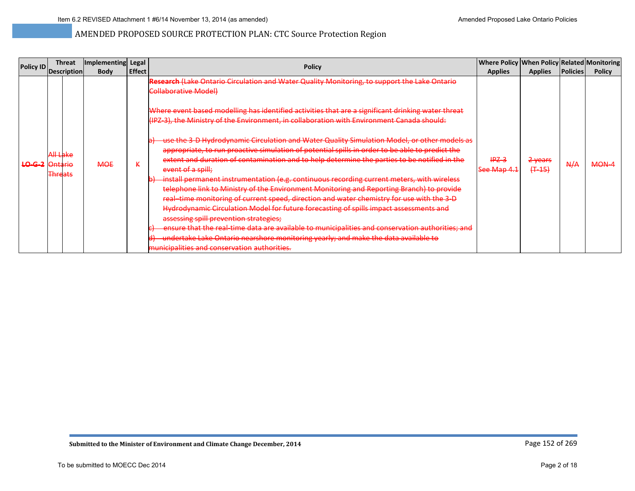|                  | <b>Threat</b>                                   | Implementing Legal |               |                                                                                                                                                                                                                                                                                                                                                                                                                                                                                                                                                                                                                                                                                                                                                                                                                                                                                                                                                                                                                                                                                                                                                                                        | Where Policy When Policy Related Monitoring |                                 |                 |               |
|------------------|-------------------------------------------------|--------------------|---------------|----------------------------------------------------------------------------------------------------------------------------------------------------------------------------------------------------------------------------------------------------------------------------------------------------------------------------------------------------------------------------------------------------------------------------------------------------------------------------------------------------------------------------------------------------------------------------------------------------------------------------------------------------------------------------------------------------------------------------------------------------------------------------------------------------------------------------------------------------------------------------------------------------------------------------------------------------------------------------------------------------------------------------------------------------------------------------------------------------------------------------------------------------------------------------------------|---------------------------------------------|---------------------------------|-----------------|---------------|
| <b>Policy ID</b> | Description                                     | <b>Body</b>        | <b>Effect</b> | <b>Policy</b>                                                                                                                                                                                                                                                                                                                                                                                                                                                                                                                                                                                                                                                                                                                                                                                                                                                                                                                                                                                                                                                                                                                                                                          | <b>Applies</b>                              | <b>Applies</b>                  | <b>Policies</b> | <b>Policy</b> |
| LO-G-2 Ontario   | ملادا ال<br><del>wezake</del><br><b>Threats</b> | <b>MOE</b>         | к             | Research (Lake Ontario Circulation and Water Quality Monitoring, to support the Lake Ontario<br><b>Collaborative Model)</b><br>Where event based modelling has identified activities that are a significant drinking water threat<br>(IPZ-3), the Ministry of the Environment, in collaboration with Environment Canada should:<br>use the 3-D Hydrodynamic Circulation and Water Quality Simulation Model, or other models as<br>appropriate, to run proactive simulation of potential spills in order to be able to predict the<br>extent and duration of contamination and to help determine the parties to be notified in the<br>event of a spill;<br>install permanent instrumentation (e.g. continuous recording current meters, with wireless<br>telephone link to Ministry of the Environment Monitoring and Reporting Branch) to provide<br>real-time monitoring of current speed, direction and water chemistry for use with the 3-D<br>Hydrodynamic Circulation Model for future forecasting of spills impact assessments and<br>assessing spill prevention strategies;<br>ensure that the real-time data are available to municipalities and conservation authorities; and | $HPZ-3$<br>See Map 4.1                      | <del>2 years</del><br>$(+ -15)$ | A/A             | <b>MON-4</b>  |
|                  |                                                 |                    |               | undertake Lake Ontario nearshore monitoring yearly; and make the data available to<br>municipalities and conservation authorities.                                                                                                                                                                                                                                                                                                                                                                                                                                                                                                                                                                                                                                                                                                                                                                                                                                                                                                                                                                                                                                                     |                                             |                                 |                 |               |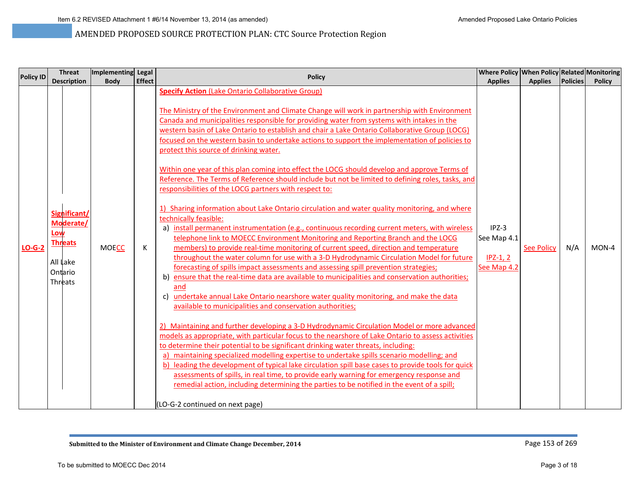| <b>Policy ID</b> |                            | <b>Threat</b>                                          | Implementing Legal |               | <b>Policy</b>                                                                                                                                                                                                                                                                                                                                                                                                                                                                                                                                                                                                                                                                                                                                                                                                                                                                                                                                                                                                                                                                                                                                                                                                                                                                                                                                                                                                                                                                                                                                                                                                                                                                                                                                                                                                                                                                                                                                                                                                                                                                                                                                                                                                                                                                                                                                                 | Where Policy When Policy Related Monitoring         |                   |          |               |
|------------------|----------------------------|--------------------------------------------------------|--------------------|---------------|---------------------------------------------------------------------------------------------------------------------------------------------------------------------------------------------------------------------------------------------------------------------------------------------------------------------------------------------------------------------------------------------------------------------------------------------------------------------------------------------------------------------------------------------------------------------------------------------------------------------------------------------------------------------------------------------------------------------------------------------------------------------------------------------------------------------------------------------------------------------------------------------------------------------------------------------------------------------------------------------------------------------------------------------------------------------------------------------------------------------------------------------------------------------------------------------------------------------------------------------------------------------------------------------------------------------------------------------------------------------------------------------------------------------------------------------------------------------------------------------------------------------------------------------------------------------------------------------------------------------------------------------------------------------------------------------------------------------------------------------------------------------------------------------------------------------------------------------------------------------------------------------------------------------------------------------------------------------------------------------------------------------------------------------------------------------------------------------------------------------------------------------------------------------------------------------------------------------------------------------------------------------------------------------------------------------------------------------------------------|-----------------------------------------------------|-------------------|----------|---------------|
|                  |                            | <b>Description</b>                                     | <b>Body</b>        | <b>Effect</b> |                                                                                                                                                                                                                                                                                                                                                                                                                                                                                                                                                                                                                                                                                                                                                                                                                                                                                                                                                                                                                                                                                                                                                                                                                                                                                                                                                                                                                                                                                                                                                                                                                                                                                                                                                                                                                                                                                                                                                                                                                                                                                                                                                                                                                                                                                                                                                               | <b>Applies</b>                                      | <b>Applies</b>    | Policies | <b>Policy</b> |
| $LO-G-2$         | Low<br>All Lake<br>Threats | Significant/<br>Moderate/<br><b>Threats</b><br>Ontario | <b>MOECC</b>       | К             | <b>Specify Action (Lake Ontario Collaborative Group)</b><br>The Ministry of the Environment and Climate Change will work in partnership with Environment<br>Canada and municipalities responsible for providing water from systems with intakes in the<br>western basin of Lake Ontario to establish and chair a Lake Ontario Collaborative Group (LOCG)<br>focused on the western basin to undertake actions to support the implementation of policies to<br>protect this source of drinking water.<br>Within one year of this plan coming into effect the LOCG should develop and approve Terms of<br>Reference. The Terms of Reference should include but not be limited to defining roles, tasks, and<br>responsibilities of the LOCG partners with respect to:<br>1) Sharing information about Lake Ontario circulation and water quality monitoring, and where<br>technically feasible:<br>a) install permanent instrumentation (e.g., continuous recording current meters, with wireless<br>telephone link to MOECC Environment Monitoring and Reporting Branch and the LOCG<br>members) to provide real-time monitoring of current speed, direction and temperature<br>throughout the water column for use with a 3-D Hydrodynamic Circulation Model for future<br>forecasting of spills impact assessments and assessing spill prevention strategies;<br>b) ensure that the real-time data are available to municipalities and conservation authorities;<br>and<br>undertake annual Lake Ontario nearshore water quality monitoring, and make the data<br>c)<br>available to municipalities and conservation authorities;<br>2) Maintaining and further developing a 3-D Hydrodynamic Circulation Model or more advanced<br>models as appropriate, with particular focus to the nearshore of Lake Ontario to assess activities<br>to determine their potential to be significant drinking water threats, including:<br>a) maintaining specialized modelling expertise to undertake spills scenario modelling; and<br>b) leading the development of typical lake circulation spill base cases to provide tools for quick<br>assessments of spills, in real time, to provide early warning for emergency response and<br>remedial action, including determining the parties to be notified in the event of a spill;<br>(LO-G-2 continued on next page) | $IPZ-3$<br>See Map 4.1<br>$IPZ-1, 2$<br>See Map 4.2 | <b>See Policy</b> | N/A      | $MON-4$       |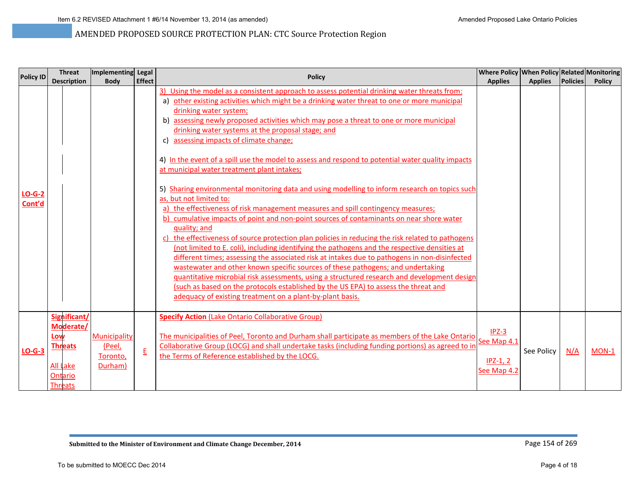| <b>Policy ID</b>   | <b>Threat</b>                                                                                      | Implementing Legal                            |                          | <b>Policy</b>                                                                                                                                                                                                                                                                                                                                                                                                                                                                                                                                                                                                                                                                                                                                                                                                                                                                                                                                                                                                                                                                                                                                                                                                                                                                                                                                                                                                                                                                                                                                      | Where Policy When Policy Related Monitoring         |                |                 |               |
|--------------------|----------------------------------------------------------------------------------------------------|-----------------------------------------------|--------------------------|----------------------------------------------------------------------------------------------------------------------------------------------------------------------------------------------------------------------------------------------------------------------------------------------------------------------------------------------------------------------------------------------------------------------------------------------------------------------------------------------------------------------------------------------------------------------------------------------------------------------------------------------------------------------------------------------------------------------------------------------------------------------------------------------------------------------------------------------------------------------------------------------------------------------------------------------------------------------------------------------------------------------------------------------------------------------------------------------------------------------------------------------------------------------------------------------------------------------------------------------------------------------------------------------------------------------------------------------------------------------------------------------------------------------------------------------------------------------------------------------------------------------------------------------------|-----------------------------------------------------|----------------|-----------------|---------------|
|                    | <b>Description</b>                                                                                 | <b>Body</b>                                   | <b>Effect</b>            |                                                                                                                                                                                                                                                                                                                                                                                                                                                                                                                                                                                                                                                                                                                                                                                                                                                                                                                                                                                                                                                                                                                                                                                                                                                                                                                                                                                                                                                                                                                                                    | <b>Applies</b>                                      | <b>Applies</b> | <b>Policies</b> | <b>Policy</b> |
| $LO-G-2$<br>Cont'd |                                                                                                    |                                               |                          | 3) Using the model as a consistent approach to assess potential drinking water threats from:<br>a) other existing activities which might be a drinking water threat to one or more municipal<br>drinking water system;<br>b) assessing newly proposed activities which may pose a threat to one or more municipal<br>drinking water systems at the proposal stage; and<br>assessing impacts of climate change;<br>C)<br>4) In the event of a spill use the model to assess and respond to potential water quality impacts<br>at municipal water treatment plant intakes;<br>5) Sharing environmental monitoring data and using modelling to inform research on topics such<br>as, but not limited to:<br>a) the effectiveness of risk management measures and spill contingency measures;<br>b) cumulative impacts of point and non-point sources of contaminants on near shore water<br>quality; and<br>c) the effectiveness of source protection plan policies in reducing the risk related to pathogens<br>(not limited to E. coli), including identifying the pathogens and the respective densities at<br>different times; assessing the associated risk at intakes due to pathogens in non-disinfected<br>wastewater and other known specific sources of these pathogens; and undertaking<br>quantitative microbial risk assessments, using a structured research and development design<br>(such as based on the protocols established by the US EPA) to assess the threat and<br>adequacy of existing treatment on a plant-by-plant basis. |                                                     |                |                 |               |
| $LO-G-3$           | Significant/<br>Moderate/<br>Low<br><b>Threats</b><br><b>All Lake</b><br>Ontario<br><b>Threats</b> | Municipality<br>(Peel,<br>Toronto,<br>Durham) | $\underline{\mathsf{E}}$ | <b>Specify Action (Lake Ontario Collaborative Group)</b><br>The municipalities of Peel, Toronto and Durham shall participate as members of the Lake Ontario<br>Collaborative Group (LOCG) and shall undertake tasks (including funding portions) as agreed to in<br>the Terms of Reference established by the LOCG.                                                                                                                                                                                                                                                                                                                                                                                                                                                                                                                                                                                                                                                                                                                                                                                                                                                                                                                                                                                                                                                                                                                                                                                                                                | $IPZ-3$<br>See Map 4.1<br>$IPZ-1, 2$<br>See Map 4.2 | See Policy     | N/A             | $MON-1$       |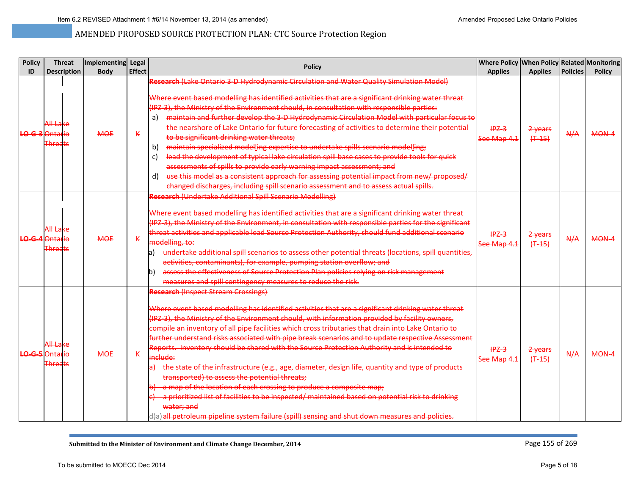| <b>Policy</b>           | <b>Threat</b>                                                | Implementing Legal |               | <b>Policy</b>                                                                                                                                                                                                                                                                                                                                                                                                                                                                                                                                                                                                                                                                                                                                                                                                                                                                                                                                                                                                             |                        | <b>Where Policy When Policy Related Monitoring</b> |                 |               |
|-------------------------|--------------------------------------------------------------|--------------------|---------------|---------------------------------------------------------------------------------------------------------------------------------------------------------------------------------------------------------------------------------------------------------------------------------------------------------------------------------------------------------------------------------------------------------------------------------------------------------------------------------------------------------------------------------------------------------------------------------------------------------------------------------------------------------------------------------------------------------------------------------------------------------------------------------------------------------------------------------------------------------------------------------------------------------------------------------------------------------------------------------------------------------------------------|------------------------|----------------------------------------------------|-----------------|---------------|
| ID                      | <b>Description</b>                                           | <b>Body</b>        | <b>Effect</b> |                                                                                                                                                                                                                                                                                                                                                                                                                                                                                                                                                                                                                                                                                                                                                                                                                                                                                                                                                                                                                           | <b>Applies</b>         | <b>Applies</b>                                     | <b>Policies</b> | <b>Policy</b> |
| <b>LO-G-3</b>           | <del>All Lake</del><br><b>Ontario</b><br>F <del>hrea</del>   | <b>MOE</b>         | K             | Research (Lake Ontario 3-D Hydrodynamic Circulation and Water Quality Simulation Model)<br>Where event based modelling has identified activities that are a significant drinking water threat<br>(IPZ-3), the Ministry of the Environment should, in consultation with responsible parties:<br>maintain and further develop the 3-D Hydrodynamic Circulation Model with particular focus to<br>a)<br>the nearshore of Lake Ontario for future forecasting of activities to determine their potential<br>to be significant drinking water threats;<br>maintain specialized modelling expertise to undertake spills scenario modelling;<br>b)<br>lead the development of typical lake circulation spill base cases to provide tools for quick<br>c)<br>assessments of spills to provide early warning impact assessment; and<br>use this model as a consistent approach for assessing potential impact from new/ proposed/<br>d)<br>changed discharges, including spill scenario assessment and to assess actual spills.    | $IPZ-3$<br>See Map 4.1 | 2-years<br>$(+ -15)$                               | A/A             | MON-4         |
| $\overline{\mathbf{A}}$ | <del>All Lake</del><br><b>Ontario</b><br>F <del>hreats</del> | <b>MOE</b>         | К             | <b>Research (Undertake Additional Spill Scenario Modelling)</b><br>Where event based modelling has identified activities that are a significant drinking water threat<br>(IPZ-3), the Ministry of the Environment, in consultation with responsible parties for the significant<br>threat activities and applicable lead Source Protection Authority, should fund additional scenario<br>modelling, to:<br>undertake additional spill scenarios to assess other potential threats (locations, spill quantities,<br>la)<br>activities, contaminants), for example, pumping station overflow; and<br>assess the effectiveness of Source Protection Plan policies relying on risk management<br>b)<br>measures and spill contingency measures to reduce the risk.                                                                                                                                                                                                                                                            | $IPZ-3$<br>See Map 4.1 | 2-years<br>$(+45)$                                 | A/A             | MON-4         |
|                         | <del>All Lake</del><br>LO-G-5 Ontario<br><b>Threats</b>      | <b>MOE</b>         | K.            | <b>Research (Inspect Stream Crossings)</b><br>Where event based modelling has identified activities that are a significant drinking water threat<br>(IPZ-3), the Ministry of the Environment should, with information provided by facility owners,<br>compile an inventory of all pipe facilities which cross tributaries that drain into Lake Ontario to<br>further understand risks associated with pipe break scenarios and to update respective Assessment<br>Reports. Inventory should be shared with the Source Protection Authority and is intended to<br>include:<br>the state of the infrastructure (e.g., age, diameter, design life, quantity and type of products<br>transported) to assess the potential threats;<br>a map of the location of each crossing to produce a composite map;<br>a prioritized list of facilities to be inspected/ maintained based on potential risk to drinking<br>water; and<br>d)a) all petroleum pipeline system failure (spill) sensing and shut down measures and policies. | $IPZ-3$<br>See Map 4.1 | 2 years<br>$(+45)$                                 | A/A             | $MON-4$       |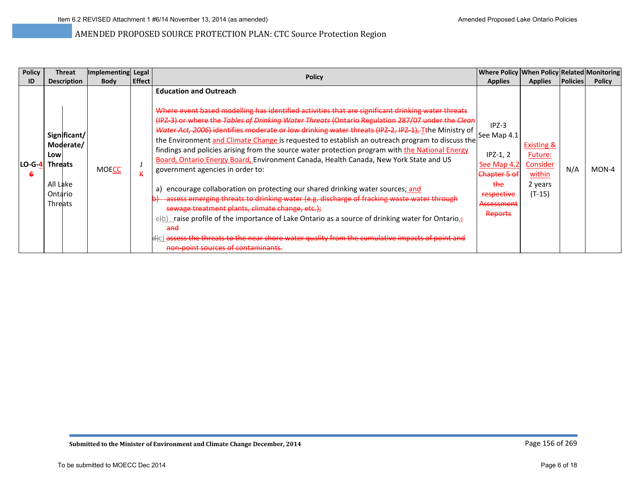| <b>Policy</b> | <b>Threat</b>                                                                               | Implementing Legal |               | <b>Policy</b>                                                                                                                                                                                                                                                                                                                                                                                                                                                                                                                                                                                                                                                                                                                                                                                                                                                                                                                                                                                                                                                                                                                                           | Where Policy When Policy Related Monitoring                                                                                  |                                                                               |                 |               |
|---------------|---------------------------------------------------------------------------------------------|--------------------|---------------|---------------------------------------------------------------------------------------------------------------------------------------------------------------------------------------------------------------------------------------------------------------------------------------------------------------------------------------------------------------------------------------------------------------------------------------------------------------------------------------------------------------------------------------------------------------------------------------------------------------------------------------------------------------------------------------------------------------------------------------------------------------------------------------------------------------------------------------------------------------------------------------------------------------------------------------------------------------------------------------------------------------------------------------------------------------------------------------------------------------------------------------------------------|------------------------------------------------------------------------------------------------------------------------------|-------------------------------------------------------------------------------|-----------------|---------------|
| ID            | <b>Description</b>                                                                          | <b>Body</b>        | <b>Effect</b> |                                                                                                                                                                                                                                                                                                                                                                                                                                                                                                                                                                                                                                                                                                                                                                                                                                                                                                                                                                                                                                                                                                                                                         | <b>Applies</b>                                                                                                               | <b>Applies</b>                                                                | <b>Policies</b> | <b>Policy</b> |
| LO-G-4        | Significant/<br>Moderate/<br>Low<br><b>Threats</b><br>All Lake<br>Ontario<br><b>Threats</b> | <b>MOECC</b>       |               | <b>Education and Outreach</b><br>Where event based modelling has identified activities that are significant drinking water threats<br>(IPZ-3) or where the Tables of Drinking Water Threats (Ontario Regulation 287/07 under the Clean<br>Water Act, 2006) identifies moderate or low drinking water threats (IPZ-2, IPZ-1), Ithe Ministry of<br>the Environment and Climate Change is requested to establish an outreach program to discuss the<br>findings and policies arising from the source water protection program with the National Energy<br>Board, Ontario Energy Board, Environment Canada, Health Canada, New York State and US<br>government agencies in order to:<br>encourage collaboration on protecting our shared drinking water sources; and<br>a)<br>assess emerging threats to drinking water (e.g. discharge of fracking waste water through<br>sewage treatment plants, climate change, etc.);<br>$\ominus$ b) raise profile of the importance of Lake Ontario as a source of drinking water for Ontario.<br>and<br>d)c) <del>assess the threats to the near shore water quality from the cumulative impacts of point and</del> | $IPZ-3$<br>See Map 4.1<br>$IPZ-1, 2$<br>See Map 4.2<br>Chapter 5 of<br>the<br>respective<br><del>Assessment</del><br>Reports | <b>Existing &amp;</b><br>Future:<br>Consider<br>within<br>2 years<br>$(T-15)$ | N/A             | MON-4         |
|               |                                                                                             |                    |               | <del>non-point sources of contaminants.</del>                                                                                                                                                                                                                                                                                                                                                                                                                                                                                                                                                                                                                                                                                                                                                                                                                                                                                                                                                                                                                                                                                                           |                                                                                                                              |                                                                               |                 |               |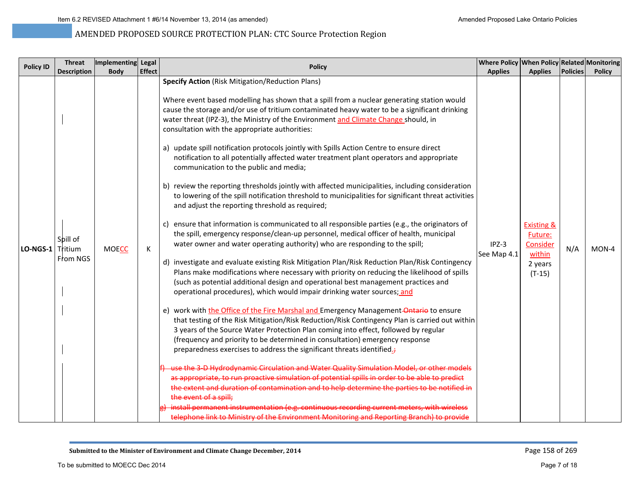|                                | <b>Threat</b>                                                                        | Implementing Legal |                                                                                                                                                                                                                                                                                                                                                                                                                                                                                                                                                                                                                                                                                                                                                                                                                                                                                                                                                                                                                                                                                                                                                                                                                                                                                                                                                                                                                                                                                                                                                                                                                                                                                                                                                                                                                                                                                                                                                                                                                                                                                                                                                                                                           | Where Policy When Policy Related Monitoring |                                                                                                        |                 |                        |
|--------------------------------|--------------------------------------------------------------------------------------|--------------------|-----------------------------------------------------------------------------------------------------------------------------------------------------------------------------------------------------------------------------------------------------------------------------------------------------------------------------------------------------------------------------------------------------------------------------------------------------------------------------------------------------------------------------------------------------------------------------------------------------------------------------------------------------------------------------------------------------------------------------------------------------------------------------------------------------------------------------------------------------------------------------------------------------------------------------------------------------------------------------------------------------------------------------------------------------------------------------------------------------------------------------------------------------------------------------------------------------------------------------------------------------------------------------------------------------------------------------------------------------------------------------------------------------------------------------------------------------------------------------------------------------------------------------------------------------------------------------------------------------------------------------------------------------------------------------------------------------------------------------------------------------------------------------------------------------------------------------------------------------------------------------------------------------------------------------------------------------------------------------------------------------------------------------------------------------------------------------------------------------------------------------------------------------------------------------------------------------------|---------------------------------------------|--------------------------------------------------------------------------------------------------------|-----------------|------------------------|
|                                |                                                                                      |                    |                                                                                                                                                                                                                                                                                                                                                                                                                                                                                                                                                                                                                                                                                                                                                                                                                                                                                                                                                                                                                                                                                                                                                                                                                                                                                                                                                                                                                                                                                                                                                                                                                                                                                                                                                                                                                                                                                                                                                                                                                                                                                                                                                                                                           |                                             |                                                                                                        |                 |                        |
| <b>Policy ID</b><br>$LO-NGS-1$ | <b>Description</b><br><b>Body</b><br>Spill of<br><b>MOECC</b><br>Tritium<br>From NGS | <b>Effect</b><br>Κ | <b>Policy</b><br><b>Specify Action</b> (Risk Mitigation/Reduction Plans)<br>Where event based modelling has shown that a spill from a nuclear generating station would<br>cause the storage and/or use of tritium contaminated heavy water to be a significant drinking<br>water threat (IPZ-3), the Ministry of the Environment and Climate Change should, in<br>consultation with the appropriate authorities:<br>a) update spill notification protocols jointly with Spills Action Centre to ensure direct<br>notification to all potentially affected water treatment plant operators and appropriate<br>communication to the public and media;<br>b) review the reporting thresholds jointly with affected municipalities, including consideration<br>to lowering of the spill notification threshold to municipalities for significant threat activities<br>and adjust the reporting threshold as required;<br>c) ensure that information is communicated to all responsible parties (e.g., the originators of<br>the spill, emergency response/clean-up personnel, medical officer of health, municipal<br>water owner and water operating authority) who are responding to the spill;<br>d) investigate and evaluate existing Risk Mitigation Plan/Risk Reduction Plan/Risk Contingency<br>Plans make modifications where necessary with priority on reducing the likelihood of spills<br>(such as potential additional design and operational best management practices and<br>operational procedures), which would impair drinking water sources; and<br>e) work with the Office of the Fire Marshal and Emergency Management-Ontario to ensure<br>that testing of the Risk Mitigation/Risk Reduction/Risk Contingency Plan is carried out within<br>3 years of the Source Water Protection Plan coming into effect, followed by regular<br>(frequency and priority to be determined in consultation) emergency response<br>preparedness exercises to address the significant threats identified.;<br>se the 3-D Hydrodynamic Circulation and Water Quality Simulation Model, or other models<br>as appropriate, to run proactive simulation of potential spills in order to be able to predict | <b>Applies</b><br>$IPZ-3$<br>See Map 4.1    | <b>Applies</b><br><b>Existing &amp;</b><br><b>Future:</b><br>Consider<br>within<br>2 years<br>$(T-15)$ | Policies<br>N/A | <b>Policy</b><br>MON-4 |

**Submitted to the Minister of Environment and Climate Change December, 2014**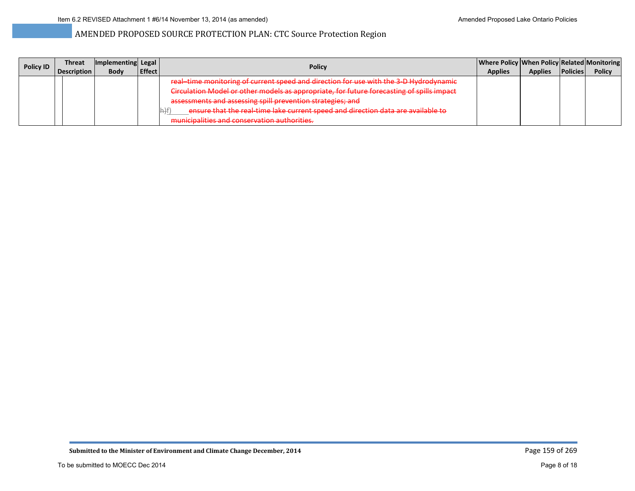| <b>Policy ID</b> | Threat | Implementing Legal |               | <b>Policy</b>                                                                                                                                                                                                 |  | Where Policy   When Policy   Related   Monitoring |                 |               |
|------------------|--------|--------------------|---------------|---------------------------------------------------------------------------------------------------------------------------------------------------------------------------------------------------------------|--|---------------------------------------------------|-----------------|---------------|
|                  |        | <b>Body</b>        | <b>Effect</b> |                                                                                                                                                                                                               |  | <b>Applies</b>                                    | <b>Policies</b> | <b>Policy</b> |
|                  |        |                    |               | real-time monitoring of current speed and direction for use with the 3-D Hydrodynamic                                                                                                                         |  |                                                   |                 |               |
|                  |        |                    |               | Circulation Model or other models as appropriate, for future forecasting of spills impact                                                                                                                     |  |                                                   |                 |               |
|                  |        |                    |               | assessments and assessing spill prevention strategies; and                                                                                                                                                    |  |                                                   |                 |               |
|                  |        |                    |               | onsure that the real-time lake percept speed and direction data are available to<br><u>Le prime de la comunicación de la comunicación de la comunicación de la comunicación de la comunicación de la comu</u> |  |                                                   |                 |               |
|                  |        |                    |               | municipalities and conservation authorities<br><del>mumerpunnes und conservation authorities.</del>                                                                                                           |  |                                                   |                 |               |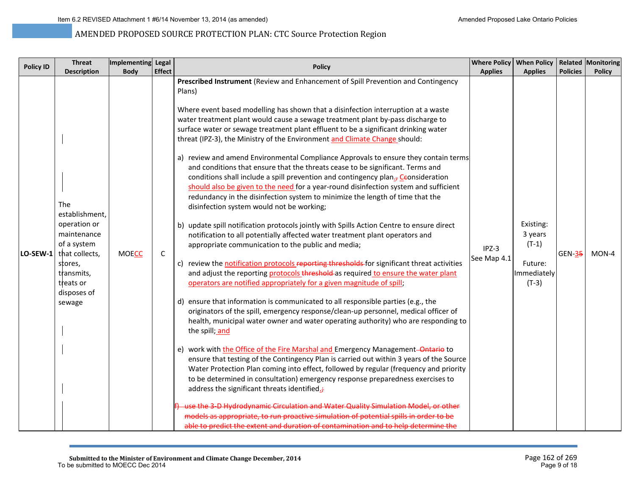| <b>Policy ID</b> | <b>Threat</b><br><b>Description</b>                                                                                                                         | Implementing Legal<br><b>Body</b> | <b>Effect</b> | <b>Policy</b>                                                                                                                                                                                                                                                                                                                                                                                                                                                                                                                                                                                                                                                                                                                                                                                                                                                                                                                                                                                                                                                                                                                                                                                                                                                                                                                                                                                                                                                                                                                                                                                                                                                                                                                                                                                                                                                                                                                                                                                                                                                                                                                                                                                                                                                                                                                                                                                   | <b>Applies</b>         | Where Policy   When Policy   Related   Monitoring<br><b>Applies</b>  | <b>Policies</b> | <b>Policy</b> |
|------------------|-------------------------------------------------------------------------------------------------------------------------------------------------------------|-----------------------------------|---------------|-------------------------------------------------------------------------------------------------------------------------------------------------------------------------------------------------------------------------------------------------------------------------------------------------------------------------------------------------------------------------------------------------------------------------------------------------------------------------------------------------------------------------------------------------------------------------------------------------------------------------------------------------------------------------------------------------------------------------------------------------------------------------------------------------------------------------------------------------------------------------------------------------------------------------------------------------------------------------------------------------------------------------------------------------------------------------------------------------------------------------------------------------------------------------------------------------------------------------------------------------------------------------------------------------------------------------------------------------------------------------------------------------------------------------------------------------------------------------------------------------------------------------------------------------------------------------------------------------------------------------------------------------------------------------------------------------------------------------------------------------------------------------------------------------------------------------------------------------------------------------------------------------------------------------------------------------------------------------------------------------------------------------------------------------------------------------------------------------------------------------------------------------------------------------------------------------------------------------------------------------------------------------------------------------------------------------------------------------------------------------------------------------|------------------------|----------------------------------------------------------------------|-----------------|---------------|
| LO-SEW-1         | <b>The</b><br>establishment,<br>operation or<br>maintenance<br>of a system<br>that collects,<br>stores,<br>transmits,<br>treats or<br>disposes of<br>sewage | <b>MOECC</b>                      | C             | Prescribed Instrument (Review and Enhancement of Spill Prevention and Contingency<br>Plans)<br>Where event based modelling has shown that a disinfection interruption at a waste<br>water treatment plant would cause a sewage treatment plant by-pass discharge to<br>surface water or sewage treatment plant effluent to be a significant drinking water<br>threat (IPZ-3), the Ministry of the Environment and Climate Change should:<br>a) review and amend Environmental Compliance Approvals to ensure they contain terms<br>and conditions that ensure that the threats cease to be significant. Terms and<br>conditions shall include a spill prevention and contingency plan $_5$ Ceonsideration<br>should also be given to the need for a year-round disinfection system and sufficient<br>redundancy in the disinfection system to minimize the length of time that the<br>disinfection system would not be working;<br>b) update spill notification protocols jointly with Spills Action Centre to ensure direct<br>notification to all potentially affected water treatment plant operators and<br>appropriate communication to the public and media;<br>c) review the notification protocols reporting thresholds for significant threat activities<br>and adjust the reporting protocols threshold as required to ensure the water plant<br>operators are notified appropriately for a given magnitude of spill;<br>d) ensure that information is communicated to all responsible parties (e.g., the<br>originators of the spill, emergency response/clean-up personnel, medical officer of<br>health, municipal water owner and water operating authority) who are responding to<br>the spill; and<br>e) work with the Office of the Fire Marshal and Emergency Management-Ontario to<br>ensure that testing of the Contingency Plan is carried out within 3 years of the Source<br>Water Protection Plan coming into effect, followed by regular (frequency and priority<br>to be determined in consultation) emergency response preparedness exercises to<br>address the significant threats identified.;<br>use the 3-D Hydrodynamic Circulation and Water Quality Simulation Model, or other<br>models as appropriate, to run proactive simulation of potential spills in order to be<br>able to predict the extent and duration of contamination and to help determine the | $IPZ-3$<br>See Map 4.1 | Existing:<br>3 years<br>$(T-1)$<br>Future:<br>Immediately<br>$(T-3)$ | <b>GEN-35</b>   | $MON-4$       |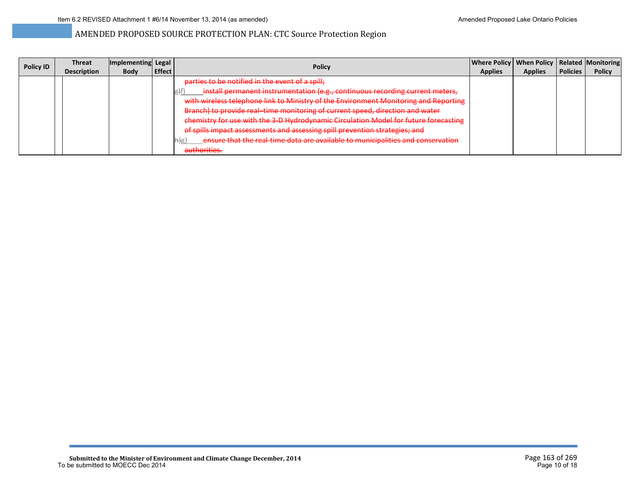| <b>Policy ID</b> | <b>Threat</b>      | Implementing Legal |                | <b>Policy</b>                                                                        | Where Policy   When Policy   Related   Monitoring |                |                 |               |
|------------------|--------------------|--------------------|----------------|--------------------------------------------------------------------------------------|---------------------------------------------------|----------------|-----------------|---------------|
|                  | <b>Description</b> | <b>Body</b>        | <b>LEffect</b> |                                                                                      | <b>Applies</b>                                    | <b>Applies</b> | <b>Policies</b> | <b>Policy</b> |
|                  |                    |                    |                | parties to be notified in the event of a spill;                                      |                                                   |                |                 |               |
|                  |                    |                    |                | install permanent instrumentation (e.g., continuous recording current meters,        |                                                   |                |                 |               |
|                  |                    |                    |                | with wireless telephone link to Ministry of the Environment Monitoring and Reporting |                                                   |                |                 |               |
|                  |                    |                    |                | Branch) to provide real-time monitoring of current speed, direction and water        |                                                   |                |                 |               |
|                  |                    |                    |                | chemistry for use with the 3-D Hydrodynamic Circulation Model for future forecasting |                                                   |                |                 |               |
|                  |                    |                    |                | of spills impact assessments and assessing spill prevention strategies; and          |                                                   |                |                 |               |
|                  |                    |                    |                | ensure that the real-time data are available to municipalities and conservation      |                                                   |                |                 |               |
|                  |                    |                    |                | authorities.<br><del>aumonnes.</del>                                                 |                                                   |                |                 |               |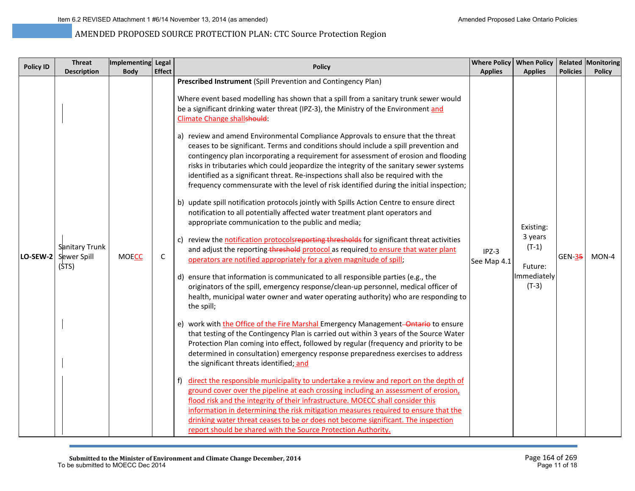| <b>Policy ID</b> | <b>Threat</b><br><b>Description</b>    | Implementing Legal<br><b>Body</b> | <b>Effect</b> | <b>Policy</b>                                                                                                                                                                                                                                                                                                                                                                                                                                                                                                                                                                                                                                                                                                                                                                                                                                                                                                                                                                                                                                                                                                                                                                                                                                                                                                                                                                                                                                                                                                                                                                                                                                                                                                                                                                                                                                                                                                                                                                                                                                                                                                                                                                                                                                                                                                                                                                                                                                                                                                                         | <b>Applies</b>         | Where Policy   When Policy   Related   Monitoring<br><b>Applies</b>  | <b>Policies</b> | <b>Policy</b> |
|------------------|----------------------------------------|-----------------------------------|---------------|---------------------------------------------------------------------------------------------------------------------------------------------------------------------------------------------------------------------------------------------------------------------------------------------------------------------------------------------------------------------------------------------------------------------------------------------------------------------------------------------------------------------------------------------------------------------------------------------------------------------------------------------------------------------------------------------------------------------------------------------------------------------------------------------------------------------------------------------------------------------------------------------------------------------------------------------------------------------------------------------------------------------------------------------------------------------------------------------------------------------------------------------------------------------------------------------------------------------------------------------------------------------------------------------------------------------------------------------------------------------------------------------------------------------------------------------------------------------------------------------------------------------------------------------------------------------------------------------------------------------------------------------------------------------------------------------------------------------------------------------------------------------------------------------------------------------------------------------------------------------------------------------------------------------------------------------------------------------------------------------------------------------------------------------------------------------------------------------------------------------------------------------------------------------------------------------------------------------------------------------------------------------------------------------------------------------------------------------------------------------------------------------------------------------------------------------------------------------------------------------------------------------------------------|------------------------|----------------------------------------------------------------------|-----------------|---------------|
| LO-SEW-2         | Sanitary Trunk<br>Sewer Spill<br>(STS) | <b>MOECC</b>                      | $\mathsf{C}$  | Prescribed Instrument (Spill Prevention and Contingency Plan)<br>Where event based modelling has shown that a spill from a sanitary trunk sewer would<br>be a significant drinking water threat (IPZ-3), the Ministry of the Environment and<br>Climate Change shallshould:<br>a) review and amend Environmental Compliance Approvals to ensure that the threat<br>ceases to be significant. Terms and conditions should include a spill prevention and<br>contingency plan incorporating a requirement for assessment of erosion and flooding<br>risks in tributaries which could jeopardize the integrity of the sanitary sewer systems<br>identified as a significant threat. Re-inspections shall also be required with the<br>frequency commensurate with the level of risk identified during the initial inspection;<br>b) update spill notification protocols jointly with Spills Action Centre to ensure direct<br>notification to all potentially affected water treatment plant operators and<br>appropriate communication to the public and media;<br>c) review the notification protocolsreporting thresholds for significant threat activities<br>and adjust the reporting-threshold protocol as required to ensure that water plant<br>operators are notified appropriately for a given magnitude of spill;<br>d) ensure that information is communicated to all responsible parties (e.g., the<br>originators of the spill, emergency response/clean-up personnel, medical officer of<br>health, municipal water owner and water operating authority) who are responding to<br>the spill;<br>e) work with the Office of the Fire Marshal Emergency Management-Ontario to ensure<br>that testing of the Contingency Plan is carried out within 3 years of the Source Water<br>Protection Plan coming into effect, followed by regular (frequency and priority to be<br>determined in consultation) emergency response preparedness exercises to address<br>the significant threats identified; and<br>direct the responsible municipality to undertake a review and report on the depth of<br>f)<br>ground cover over the pipeline at each crossing including an assessment of erosion,<br>flood risk and the integrity of their infrastructure. MOECC shall consider this<br>information in determining the risk mitigation measures required to ensure that the<br>drinking water threat ceases to be or does not become significant. The inspection<br>report should be shared with the Source Protection Authority. | $IPZ-3$<br>See Map 4.1 | Existing:<br>3 years<br>$(T-1)$<br>Future:<br>Immediately<br>$(T-3)$ | <b>GEN-35</b>   | MON-4         |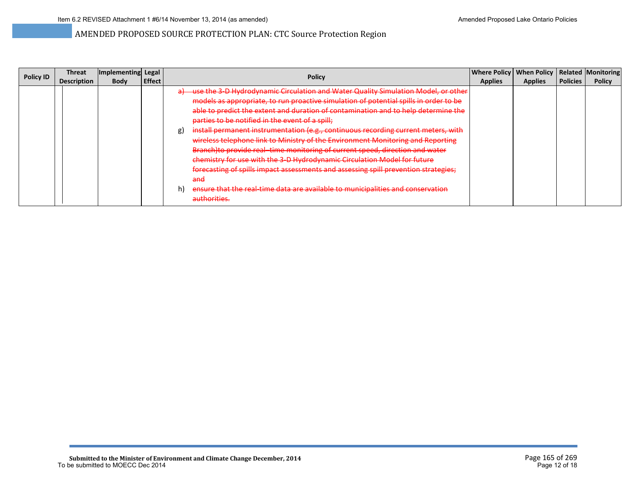| <b>Policy ID</b> | Threat             | Implementing Legal |               | Policy                                                                                             | <b>Where Policy</b> | When Policy   Related   Monitoring |                 |               |
|------------------|--------------------|--------------------|---------------|----------------------------------------------------------------------------------------------------|---------------------|------------------------------------|-----------------|---------------|
|                  | <b>Description</b> | <b>Body</b>        | <b>Effect</b> |                                                                                                    | <b>Applies</b>      | <b>Applies</b>                     | <b>Policies</b> | <b>Policy</b> |
|                  |                    |                    |               | -use the 3-D Hydrodynamic Circulation and Water Quality Simulation Model, or other<br>$\mathbf{a}$ |                     |                                    |                 |               |
|                  |                    |                    |               | models as appropriate, to run proactive simulation of potential spills in order to be              |                     |                                    |                 |               |
|                  |                    |                    |               | able to predict the extent and duration of contamination and to help determine the                 |                     |                                    |                 |               |
|                  |                    |                    |               | parties to be notified in the event of a spill;                                                    |                     |                                    |                 |               |
|                  |                    |                    |               | install permanent instrumentation (e.g., continuous recording current meters, with<br>g)           |                     |                                    |                 |               |
|                  |                    |                    |               | wireless telephone link to Ministry of the Environment Monitoring and Reporting                    |                     |                                    |                 |               |
|                  |                    |                    |               | <b>Branch) to provide real-time monitoring of current speed, direction and water</b>               |                     |                                    |                 |               |
|                  |                    |                    |               | chemistry for use with the 3-D Hydrodynamic Circulation Model for future                           |                     |                                    |                 |               |
|                  |                    |                    |               | forecasting of spills impact assessments and assessing spill prevention strategies;                |                     |                                    |                 |               |
|                  |                    |                    |               | and                                                                                                |                     |                                    |                 |               |
|                  |                    |                    |               | ensure that the real-time data are available to municipalities and conservation<br>h)              |                     |                                    |                 |               |
|                  |                    |                    |               | authorities.                                                                                       |                     |                                    |                 |               |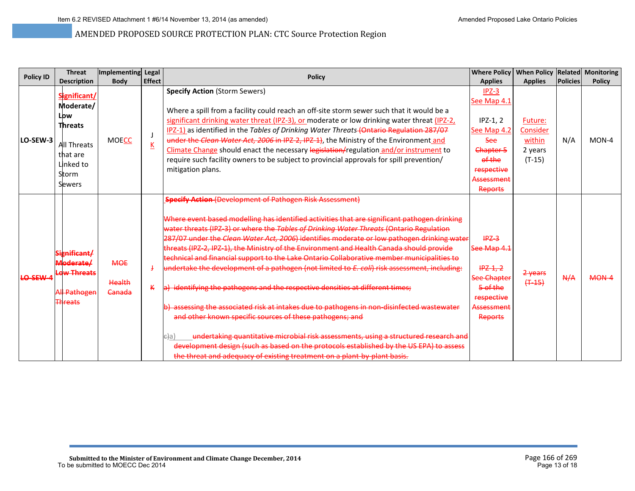| <b>Policy ID</b> | <b>Threat</b>                                                                     | Implementing Legal                    |                                                                                                                                                                                                                                                                                                                                                                                                                                                                                                                                                                                                                                     | <b>Policy</b>                                                                                                                                                                                                                                                                                                                                                                                                                                                                                                                                                                                                                                                                                                                                                                                                                                                                                                                                                                                                                                                                                                                                                                | <b>Where Policy</b>                                                                                           | When Policy   Related   Monitoring |                 |               |
|------------------|-----------------------------------------------------------------------------------|---------------------------------------|-------------------------------------------------------------------------------------------------------------------------------------------------------------------------------------------------------------------------------------------------------------------------------------------------------------------------------------------------------------------------------------------------------------------------------------------------------------------------------------------------------------------------------------------------------------------------------------------------------------------------------------|------------------------------------------------------------------------------------------------------------------------------------------------------------------------------------------------------------------------------------------------------------------------------------------------------------------------------------------------------------------------------------------------------------------------------------------------------------------------------------------------------------------------------------------------------------------------------------------------------------------------------------------------------------------------------------------------------------------------------------------------------------------------------------------------------------------------------------------------------------------------------------------------------------------------------------------------------------------------------------------------------------------------------------------------------------------------------------------------------------------------------------------------------------------------------|---------------------------------------------------------------------------------------------------------------|------------------------------------|-----------------|---------------|
|                  | <b>Description</b>                                                                | <b>Body</b>                           | <b>Effect</b>                                                                                                                                                                                                                                                                                                                                                                                                                                                                                                                                                                                                                       |                                                                                                                                                                                                                                                                                                                                                                                                                                                                                                                                                                                                                                                                                                                                                                                                                                                                                                                                                                                                                                                                                                                                                                              | <b>Applies</b>                                                                                                | <b>Applies</b>                     | <b>Policies</b> | <b>Policy</b> |
| LO-SEW-3         | Significant/<br>Moderate/<br>Low<br><b>Threats</b>                                | <b>MOECC</b>                          | <b>Specify Action (Storm Sewers)</b><br>Where a spill from a facility could reach an off-site storm sewer such that it would be a<br>significant drinking water threat (IPZ-3), or moderate or low drinking water threat (IPZ-2,<br>IPZ-1) as identified in the Tables of Drinking Water Threats (Ontario Regulation 287/07<br>under the Clean Water Act, 2006 in IPZ-2, IPZ-1), the Ministry of the Environment and<br>К<br>Climate Change should enact the necessary legislation/regulation and/or instrument to<br>require such facility owners to be subject to provincial approvals for spill prevention/<br>mitigation plans. | $IPZ-3$<br>See Map 4.1<br>$IPZ-1.2$<br>See Map 4.2<br><b>See</b>                                                                                                                                                                                                                                                                                                                                                                                                                                                                                                                                                                                                                                                                                                                                                                                                                                                                                                                                                                                                                                                                                                             | Future:<br>Consider<br>within                                                                                 | N/A                                | $MON-4$         |               |
|                  | All Threats<br>that are<br>Linked to<br>Storm<br>Sewers                           |                                       |                                                                                                                                                                                                                                                                                                                                                                                                                                                                                                                                                                                                                                     | Chapter 5<br>of the<br>respective<br>Assessment<br>Reports                                                                                                                                                                                                                                                                                                                                                                                                                                                                                                                                                                                                                                                                                                                                                                                                                                                                                                                                                                                                                                                                                                                   | 2 years<br>$(T-15)$                                                                                           |                                    |                 |               |
| <b>LO-SEW-4</b>  | Significant/<br>Moderate/<br><b>Low Threats</b><br>All Pathogen<br><b>Threats</b> | <b>MOE</b><br>Health<br><b>Canada</b> |                                                                                                                                                                                                                                                                                                                                                                                                                                                                                                                                                                                                                                     | <b>Specify Action (Development of Pathogen Risk Assessment)</b><br>Where event based modelling has identified activities that are significant pathogen drinking<br>water threats (IPZ-3) or where the Tables of Drinking Water Threats (Ontario Regulation<br>287/07 under the Clean Water Act, 2006) identifies moderate or low pathogen drinking water<br>threats (IPZ-2, IPZ-1), the Ministry of the Environment and Health Canada should provide<br>technical and financial support to the Lake Ontario Collaborative member municipalities to<br>undertake the development of a pathogen (not limited to <i>E. coli</i> ) risk assessment, including:<br>a) identifying the pathogens and the respective densities at different times;<br>b) assessing the associated risk at intakes due to pathogens in non-disinfected wastewater<br>and other known specific sources of these pathogens; and<br>undertaking quantitative microbial risk assessments, using a structured research and<br>e}ai<br>development design (such as based on the protocols established by the US EPA) to assess<br>the threat and adequacy of existing treatment on a plant-by-plant basis. | $IPZ-3$<br>See Map 4.1<br>$HPZ-1, 2$<br><b>See Chapter</b><br>5 of the<br>respective<br>Assessment<br>Reports | 2-years<br>$(+ -15)$               | A/A             | $MON-4$       |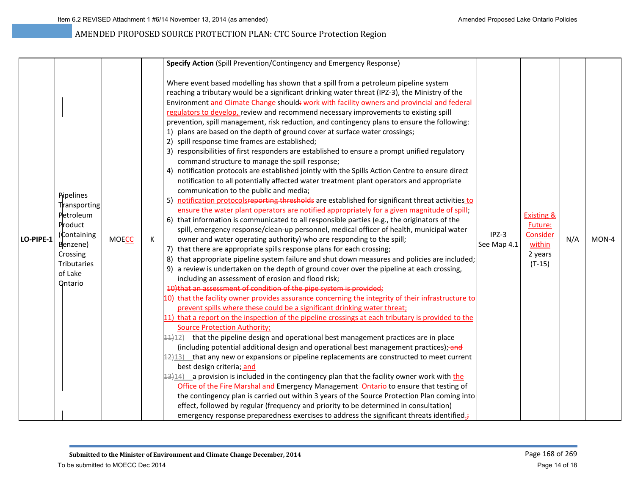|           |                                                                                                                                             |              |   | Specify Action (Spill Prevention/Contingency and Emergency Response)                                                                                                                                                                                                                                                                                                                                                                                                                                                                                                                                                                                                                                                                                                                                                                                                                                                                                                                                                                                                                                                                                                                                                                                                                                                                                                                                                                                                                                                                                                                                                                                                                                                                                                                                                                                                                                                                                                                                                                                                                                                                                                                                                                                                                                                                                                                                                                                                                                                                                                                                                                                                                                                                                                                                                                                                                                                                                                                                                                                 |                        |                                                                               |     |       |
|-----------|---------------------------------------------------------------------------------------------------------------------------------------------|--------------|---|------------------------------------------------------------------------------------------------------------------------------------------------------------------------------------------------------------------------------------------------------------------------------------------------------------------------------------------------------------------------------------------------------------------------------------------------------------------------------------------------------------------------------------------------------------------------------------------------------------------------------------------------------------------------------------------------------------------------------------------------------------------------------------------------------------------------------------------------------------------------------------------------------------------------------------------------------------------------------------------------------------------------------------------------------------------------------------------------------------------------------------------------------------------------------------------------------------------------------------------------------------------------------------------------------------------------------------------------------------------------------------------------------------------------------------------------------------------------------------------------------------------------------------------------------------------------------------------------------------------------------------------------------------------------------------------------------------------------------------------------------------------------------------------------------------------------------------------------------------------------------------------------------------------------------------------------------------------------------------------------------------------------------------------------------------------------------------------------------------------------------------------------------------------------------------------------------------------------------------------------------------------------------------------------------------------------------------------------------------------------------------------------------------------------------------------------------------------------------------------------------------------------------------------------------------------------------------------------------------------------------------------------------------------------------------------------------------------------------------------------------------------------------------------------------------------------------------------------------------------------------------------------------------------------------------------------------------------------------------------------------------------------------------------------------|------------------------|-------------------------------------------------------------------------------|-----|-------|
| LO-PIPE-1 | <b>Pipelines</b><br>Transporting<br>Petroleum<br>Product<br>(Containing<br>Benzene)<br>Crossing<br><b>Tributaries</b><br>of Lake<br>Ontario | <b>MOECC</b> | К | Where event based modelling has shown that a spill from a petroleum pipeline system<br>reaching a tributary would be a significant drinking water threat (IPZ-3), the Ministry of the<br>Environment and Climate Change should: work with facility owners and provincial and federal<br>regulators to develop, review and recommend necessary improvements to existing spill<br>prevention, spill management, risk reduction, and contingency plans to ensure the following:<br>1) plans are based on the depth of ground cover at surface water crossings;<br>2) spill response time frames are established;<br>3) responsibilities of first responders are established to ensure a prompt unified regulatory<br>command structure to manage the spill response;<br>4) notification protocols are established jointly with the Spills Action Centre to ensure direct<br>notification to all potentially affected water treatment plant operators and appropriate<br>communication to the public and media;<br>5) notification protocolsreporting thresholds are established for significant threat activities to<br>ensure the water plant operators are notified appropriately for a given magnitude of spill;<br>6) that information is communicated to all responsible parties (e.g., the originators of the<br>spill, emergency response/clean-up personnel, medical officer of health, municipal water<br>owner and water operating authority) who are responding to the spill;<br>7) that there are appropriate spills response plans for each crossing;<br>8) that appropriate pipeline system failure and shut down measures and policies are included;<br>9) a review is undertaken on the depth of ground cover over the pipeline at each crossing,<br>including an assessment of erosion and flood risk;<br>10) that an assessment of condition of the pipe system is provided;<br>10) that the facility owner provides assurance concerning the integrity of their infrastructure to<br>prevent spills where these could be a significant drinking water threat;<br>11) that a report on the inspection of the pipeline crossings at each tributary is provided to the<br><b>Source Protection Authority;</b><br>$\frac{4.4}{1.2}$ that the pipeline design and operational best management practices are in place<br>(including potential additional design and operational best management practices); and<br>$\frac{42}{12}$ that any new or expansions or pipeline replacements are constructed to meet current<br>best design criteria; and<br>$\frac{12}{12}$ a provision is included in the contingency plan that the facility owner work with the<br>Office of the Fire Marshal and Emergency Management-Ontario to ensure that testing of<br>the contingency plan is carried out within 3 years of the Source Protection Plan coming into<br>effect, followed by regular (frequency and priority to be determined in consultation)<br>emergency response preparedness exercises to address the significant threats identified. | $IPZ-3$<br>See Map 4.1 | <b>Existing &amp;</b><br>Future:<br>Consider<br>within<br>2 years<br>$(T-15)$ | N/A | MON-4 |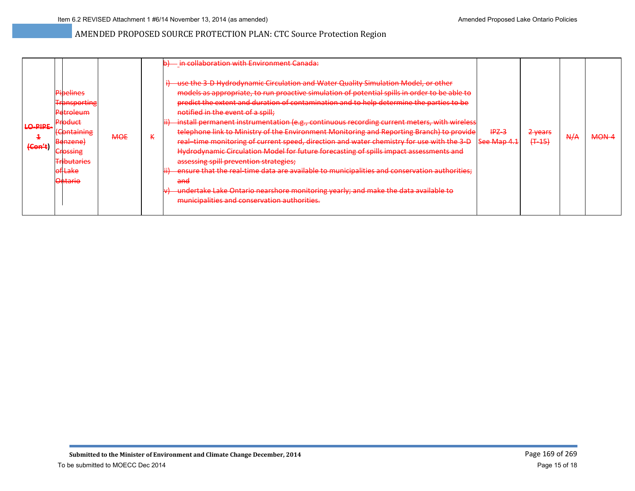| <b>LO-PIPE-</b><br>${Cone 4}$ | <b>Pioelines</b><br><b>Transporting</b><br><b>Petroleum</b><br><del>Product</del><br>(Containing<br>Benzene)<br><b>Crossing</b><br><b>Tributaries</b><br><b>of Lake</b> | <b>MOE</b> | к | - in collaboration with Environment Canada:<br>use the 3-D Hydrodynamic Circulation and Water Quality Simulation Model, or other<br>models as appropriate, to run proactive simulation of potential spills in order to be able to<br>predict the extent and duration of contamination and to help determine the parties to be<br>notified in the event of a spill;<br>install permanent instrumentation (e.g., continuous recording current meters, with wireless<br>telephone link to Ministry of the Environment Monitoring and Reporting Branch) to provide<br>real-time monitoring of current speed, direction and water chemistry for use with the 3-D<br>Hydrodynamic Circulation Model for future forecasting of spills impact assessments and<br>assessing spill prevention strategies;<br>ensure that the real-time data are available to municipalities and conservation authorities;<br>and | $IPZ-3$<br>See Map 4.1 | $2$ years<br>$(T - 15)$<br><del>,,,,,</del> | A/A | <b>MON-4</b> |
|-------------------------------|-------------------------------------------------------------------------------------------------------------------------------------------------------------------------|------------|---|--------------------------------------------------------------------------------------------------------------------------------------------------------------------------------------------------------------------------------------------------------------------------------------------------------------------------------------------------------------------------------------------------------------------------------------------------------------------------------------------------------------------------------------------------------------------------------------------------------------------------------------------------------------------------------------------------------------------------------------------------------------------------------------------------------------------------------------------------------------------------------------------------------|------------------------|---------------------------------------------|-----|--------------|
|                               | <del>Ontario</del>                                                                                                                                                      |            |   | undertake Lake Ontario nearshore monitoring yearly; and make the data available to<br>municipalities and conservation authorities.                                                                                                                                                                                                                                                                                                                                                                                                                                                                                                                                                                                                                                                                                                                                                                     |                        |                                             |     |              |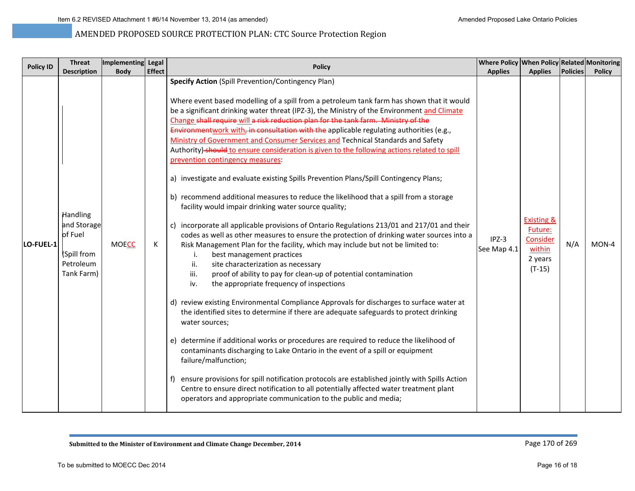| <b>Policy ID</b> | <b>Threat</b>                                                                       | Implementing Legal |               | <b>Policy</b>                                                                                                                                                                                                                                                                                                                                                                                                                                                                                                                                                                                                                                                                                                                                                                                                                                                                                                                                                                                                                                                                                                                                                                                                                                                                                                                                                                                                                                                                                                                                                                                                                                                                                                                                                                                                                                                                                                                                                                                                                                                                | Where Policy When Policy Related Monitoring |                                                                               |                 |               |
|------------------|-------------------------------------------------------------------------------------|--------------------|---------------|------------------------------------------------------------------------------------------------------------------------------------------------------------------------------------------------------------------------------------------------------------------------------------------------------------------------------------------------------------------------------------------------------------------------------------------------------------------------------------------------------------------------------------------------------------------------------------------------------------------------------------------------------------------------------------------------------------------------------------------------------------------------------------------------------------------------------------------------------------------------------------------------------------------------------------------------------------------------------------------------------------------------------------------------------------------------------------------------------------------------------------------------------------------------------------------------------------------------------------------------------------------------------------------------------------------------------------------------------------------------------------------------------------------------------------------------------------------------------------------------------------------------------------------------------------------------------------------------------------------------------------------------------------------------------------------------------------------------------------------------------------------------------------------------------------------------------------------------------------------------------------------------------------------------------------------------------------------------------------------------------------------------------------------------------------------------------|---------------------------------------------|-------------------------------------------------------------------------------|-----------------|---------------|
|                  | <b>Description</b>                                                                  | <b>Body</b>        | <b>Effect</b> |                                                                                                                                                                                                                                                                                                                                                                                                                                                                                                                                                                                                                                                                                                                                                                                                                                                                                                                                                                                                                                                                                                                                                                                                                                                                                                                                                                                                                                                                                                                                                                                                                                                                                                                                                                                                                                                                                                                                                                                                                                                                              | <b>Applies</b>                              | <b>Applies</b>                                                                | <b>Policies</b> | <b>Policy</b> |
| LO-FUEL-1        | <b>Handling</b><br>and Storage<br>of Fuel<br>(Spill from<br>Petroleum<br>Tank Farm) | <b>MOECC</b>       | Κ             | <b>Specify Action (Spill Prevention/Contingency Plan)</b><br>Where event based modelling of a spill from a petroleum tank farm has shown that it would<br>be a significant drinking water threat (IPZ-3), the Ministry of the Environment and Climate<br>Change shall require will a risk reduction plan for the tank farm. Ministry of the<br>Environmentwork with, in consultation with the applicable regulating authorities (e.g.,<br>Ministry of Government and Consumer Services and Technical Standards and Safety<br>Authority)-should to ensure consideration is given to the following actions related to spill<br>prevention contingency measures:<br>a) investigate and evaluate existing Spills Prevention Plans/Spill Contingency Plans;<br>b) recommend additional measures to reduce the likelihood that a spill from a storage<br>facility would impair drinking water source quality;<br>incorporate all applicable provisions of Ontario Regulations 213/01 and 217/01 and their<br>codes as well as other measures to ensure the protection of drinking water sources into a<br>Risk Management Plan for the facility, which may include but not be limited to:<br>best management practices<br>i.<br>ii.<br>site characterization as necessary<br>iii.<br>proof of ability to pay for clean-up of potential contamination<br>the appropriate frequency of inspections<br>iv.<br>d) review existing Environmental Compliance Approvals for discharges to surface water at<br>the identified sites to determine if there are adequate safeguards to protect drinking<br>water sources;<br>e) determine if additional works or procedures are required to reduce the likelihood of<br>contaminants discharging to Lake Ontario in the event of a spill or equipment<br>failure/malfunction;<br>ensure provisions for spill notification protocols are established jointly with Spills Action<br>Centre to ensure direct notification to all potentially affected water treatment plant<br>operators and appropriate communication to the public and media; | $IPZ-3$<br>See Map 4.1                      | <b>Existing &amp;</b><br>Future:<br>Consider<br>within<br>2 years<br>$(T-15)$ | N/A             | $MON-4$       |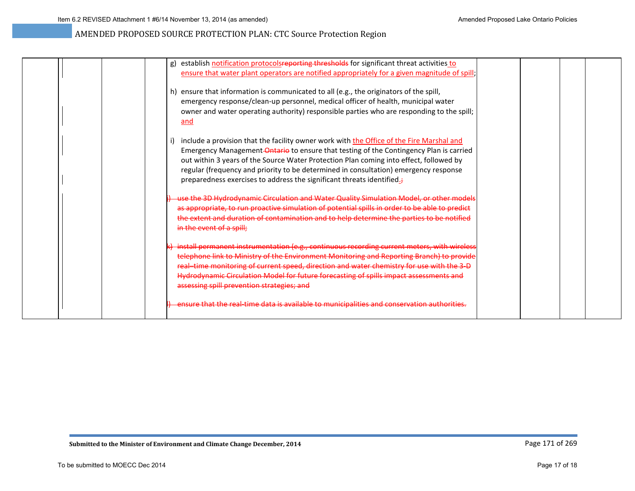| establish notification protocolsreporting thresholds for significant threat activities to<br>g) |  |
|-------------------------------------------------------------------------------------------------|--|
| ensure that water plant operators are notified appropriately for a given magnitude of spill;    |  |
|                                                                                                 |  |
| h) ensure that information is communicated to all (e.g., the originators of the spill,          |  |
| emergency response/clean-up personnel, medical officer of health, municipal water               |  |
| owner and water operating authority) responsible parties who are responding to the spill;       |  |
| and                                                                                             |  |
|                                                                                                 |  |
| include a provision that the facility owner work with the Office of the Fire Marshal and<br>i)  |  |
| Emergency Management-Ontario to ensure that testing of the Contingency Plan is carried          |  |
| out within 3 years of the Source Water Protection Plan coming into effect, followed by          |  |
| regular (frequency and priority to be determined in consultation) emergency response            |  |
| preparedness exercises to address the significant threats identified. <sup>3</sup>              |  |
| use the 3D Hydrodynamic Circulation and Water Quality Simulation Model, or other models         |  |
| as appropriate, to run proactive simulation of potential spills in order to be able to predict  |  |
| the extent and duration of contamination and to help determine the parties to be notified       |  |
| in the event of a spill;                                                                        |  |
| k) install permanent instrumentation (e.g., continuous recording current meters, with wireless  |  |
| telephone link to Ministry of the Environment Monitoring and Reporting Branch) to provide       |  |
| real-time monitoring of current speed, direction and water chemistry for use with the 3-D       |  |
| Hydrodynamic Circulation Model for future forecasting of spills impact assessments and          |  |
| assessing spill prevention strategies; and                                                      |  |
|                                                                                                 |  |
| ensure that the real-time data is available to municipalities and conservation authorities.     |  |
|                                                                                                 |  |